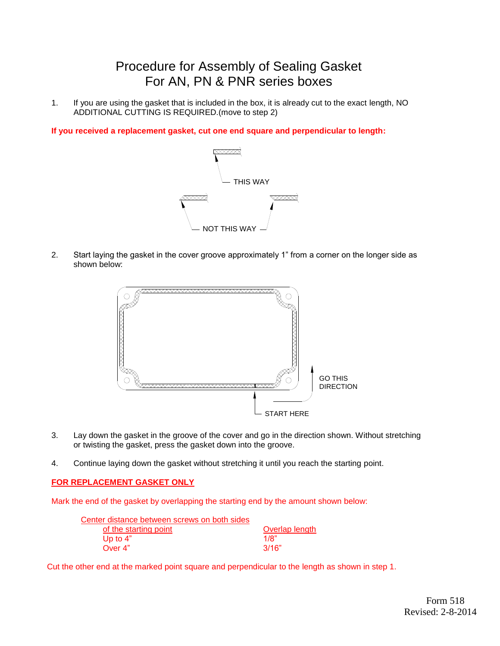## Procedure for Assembly of Sealing Gasket For AN, PN & PNR series boxes

1. If you are using the gasket that is included in the box, it is already cut to the exact length, NO ADDITIONAL CUTTING IS REQUIRED.(move to step 2)

**If you received a replacement gasket, cut one end square and perpendicular to length:**



2. Start laying the gasket in the cover groove approximately 1" from a corner on the longer side as shown below:



- 3. Lay down the gasket in the groove of the cover and go in the direction shown. Without stretching or twisting the gasket, press the gasket down into the groove.
- 4. Continue laying down the gasket without stretching it until you reach the starting point.

## **FOR REPLACEMENT GASKET ONLY**

Mark the end of the gasket by overlapping the starting end by the amount shown below:

| Center distance between screws on both sides |                |
|----------------------------------------------|----------------|
| of the starting point                        | Overlap length |
| Up to $4"$                                   | 1/8"           |
| Over $4"$                                    | 3/16"          |

Cut the other end at the marked point square and perpendicular to the length as shown in step 1.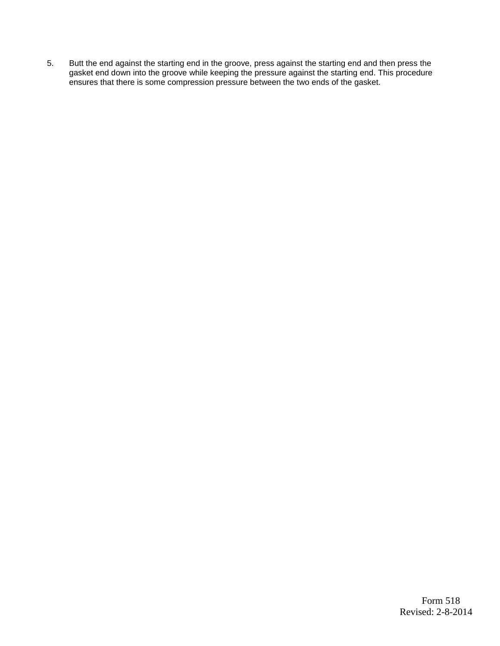5. Butt the end against the starting end in the groove, press against the starting end and then press the gasket end down into the groove while keeping the pressure against the starting end. This procedure ensures that there is some compression pressure between the two ends of the gasket.